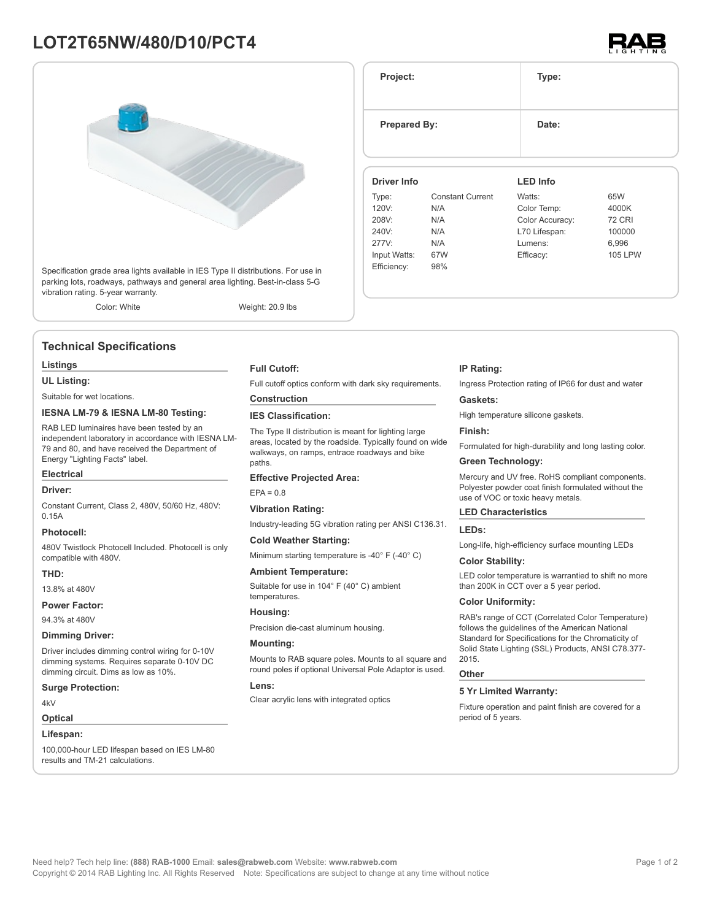# **LOT2T65NW/480/D10/PCT4**



Specification grade area lights available in IES Type II distributions. For use in parking lots, roadways, pathways and general area lighting. Best-in-class 5-G vibration rating. 5-year warranty.

Color: White Weight: 20.9 lbs

# **Technical Specifications**

#### **Listings**

**UL Listing:**

Suitable for wet locations.

### **IESNA LM-79 & IESNA LM-80 Testing:**

RAB LED luminaires have been tested by an independent laboratory in accordance with IESNA LM-79 and 80, and have received the Department of Energy "Lighting Facts" label.

# **Electrical**

#### **Driver:**

Constant Current, Class 2, 480V, 50/60 Hz, 480V: 0.15A

### **Photocell:**

480V Twistlock Photocell Included. Photocell is only compatible with 480V.

### **THD:**

13.8% at 480V

### **Power Factor:**

94.3% at 480V

#### **Dimming Driver:**

Driver includes dimming control wiring for 0-10V dimming systems. Requires separate 0-10V DC dimming circuit. Dims as low as 10%.

#### **Surge Protection:**

4kV

# **Optical**

#### **Lifespan:**

100,000-hour LED lifespan based on IES LM-80 results and TM-21 calculations.

#### **Full Cutoff:**

Full cutoff optics conform with dark sky requirements.

# **Construction**

# **IES Classification:**

The Type II distribution is meant for lighting large areas, located by the roadside. Typically found on wide walkways, on ramps, entrace roadways and bike paths

#### **Effective Projected Area:**

 $FPA = 0.8$ 

#### **Vibration Rating:**

Industry-leading 5G vibration rating per ANSI C136.31.

#### **Cold Weather Starting:**

Minimum starting temperature is -40° F (-40° C)

#### **Ambient Temperature:**

Suitable for use in 104° F (40° C) ambient temperatures.

# **Housing:**

Precision die-cast aluminum housing.

#### **Mounting:**

Mounts to RAB square poles. Mounts to all square and round poles if optional Universal Pole Adaptor is used.

#### **Lens:**

Clear acrylic lens with integrated optics

# **IP Rating:**

Ingress Protection rating of IP66 for dust and water

#### **Gaskets:**

High temperature silicone gaskets.

#### **Finish:**

Formulated for high-durability and long lasting color.

# **Green Technology:**

Mercury and UV free. RoHS compliant components. Polyester powder coat finish formulated without the use of VOC or toxic heavy metals.

## **LED Characteristics**

#### **LEDs:**

Long-life, high-efficiency surface mounting LEDs

#### **Color Stability:**

LED color temperature is warrantied to shift no more than 200K in CCT over a 5 year period.

#### **Color Uniformity:**

RAB's range of CCT (Correlated Color Temperature) follows the guidelines of the American National Standard for Specifications for the Chromaticity of Solid State Lighting (SSL) Products, ANSI C78.377- 2015.

#### **Other**

### **5 Yr Limited Warranty:**

Fixture operation and paint finish are covered for a period of 5 years.



**Project: Type: Prepared By:** Date: **Driver Info** Type: Constant Current 120V: N/A 208V: N/A 240V: N/A 277V: N/A Input Watts: 67W Efficiency: 98% **LED Info** Watts: 65W Color Temp: 4000K Color Accuracy: 72 CRI L70 Lifespan: 100000 Lumens: 6,996 Efficacy: 105 LPW